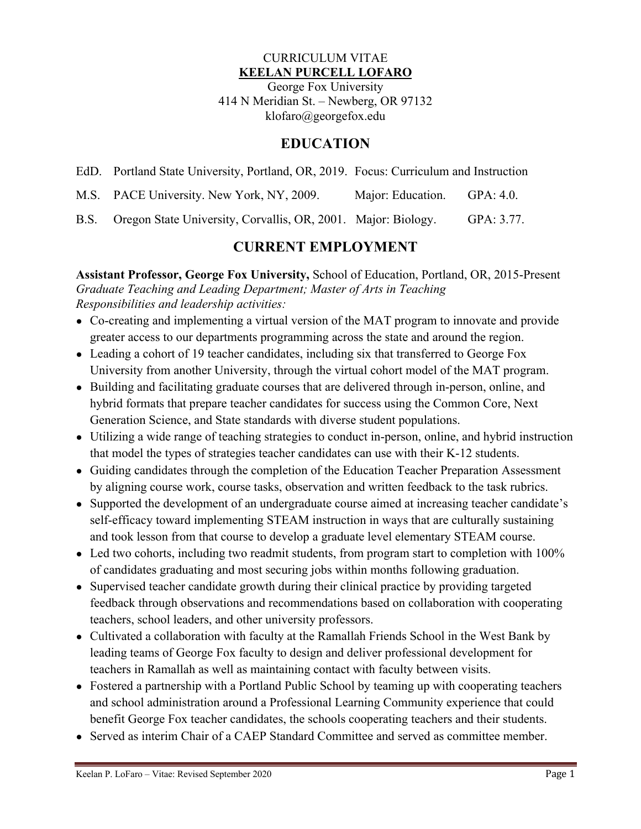#### CURRICULUM VITAE **KEELAN PURCELL LOFARO**

George Fox University 414 N Meridian St. – Newberg, OR 97132 klofaro@georgefox.edu

## **EDUCATION**

- EdD. Portland State University, Portland, OR, 2019. Focus: Curriculum and Instruction
- M.S. PACE University. New York, NY, 2009. Major: Education. GPA: 4.0.

B.S. Oregon State University, Corvallis, OR, 2001. Major: Biology. GPA: 3.77.

## **CURRENT EMPLOYMENT**

**Assistant Professor, George Fox University,** School of Education, Portland, OR, 2015-Present *Graduate Teaching and Leading Department; Master of Arts in Teaching Responsibilities and leadership activities:*

- Co-creating and implementing a virtual version of the MAT program to innovate and provide greater access to our departments programming across the state and around the region.
- Leading a cohort of 19 teacher candidates, including six that transferred to George Fox University from another University, through the virtual cohort model of the MAT program.
- Building and facilitating graduate courses that are delivered through in-person, online, and hybrid formats that prepare teacher candidates for success using the Common Core, Next Generation Science, and State standards with diverse student populations.
- Utilizing a wide range of teaching strategies to conduct in-person, online, and hybrid instruction that model the types of strategies teacher candidates can use with their K-12 students.
- Guiding candidates through the completion of the Education Teacher Preparation Assessment by aligning course work, course tasks, observation and written feedback to the task rubrics.
- Supported the development of an undergraduate course aimed at increasing teacher candidate's self-efficacy toward implementing STEAM instruction in ways that are culturally sustaining and took lesson from that course to develop a graduate level elementary STEAM course.
- Led two cohorts, including two readmit students, from program start to completion with 100% of candidates graduating and most securing jobs within months following graduation.
- Supervised teacher candidate growth during their clinical practice by providing targeted feedback through observations and recommendations based on collaboration with cooperating teachers, school leaders, and other university professors.
- Cultivated a collaboration with faculty at the Ramallah Friends School in the West Bank by leading teams of George Fox faculty to design and deliver professional development for teachers in Ramallah as well as maintaining contact with faculty between visits.
- Fostered a partnership with a Portland Public School by teaming up with cooperating teachers and school administration around a Professional Learning Community experience that could benefit George Fox teacher candidates, the schools cooperating teachers and their students.
- Served as interim Chair of a CAEP Standard Committee and served as committee member.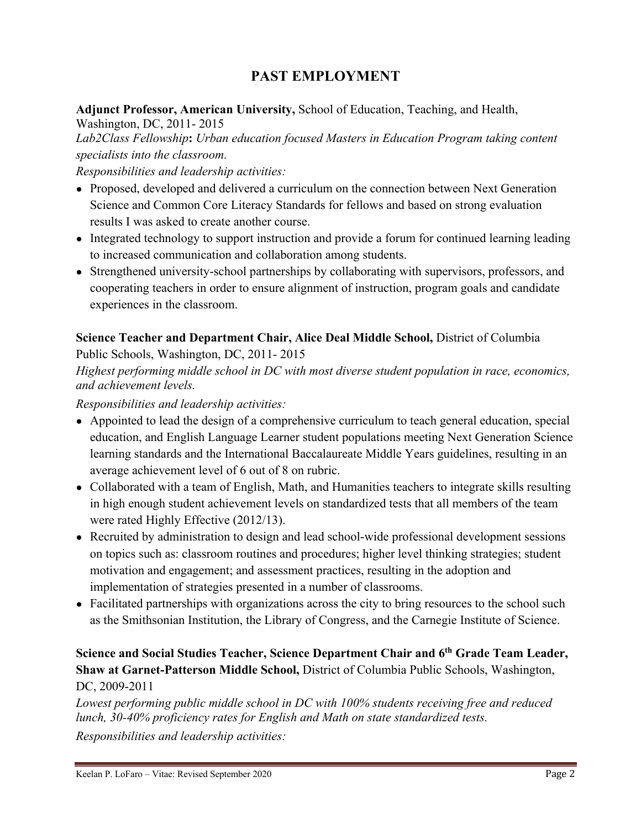# **PAST EMPLOYMENT**

**Adjunct Professor, American University,** School of Education, Teaching, and Health, Washington, DC, 2011- 2015

*Lab2Class Fellowship***:** *Urban education focused Masters in Education Program taking content specialists into the classroom.*

*Responsibilities and leadership activities:*

- Proposed, developed and delivered a curriculum on the connection between Next Generation Science and Common Core Literacy Standards for fellows and based on strong evaluation results I was asked to create another course.
- Integrated technology to support instruction and provide a forum for continued learning leading to increased communication and collaboration among students.
- Strengthened university-school partnerships by collaborating with supervisors, professors, and cooperating teachers in order to ensure alignment of instruction, program goals and candidate experiences in the classroom.

#### **Science Teacher and Department Chair, Alice Deal Middle School,** District of Columbia

Public Schools, Washington, DC, 2011- 2015

*Highest performing middle school in DC with most diverse student population in race, economics, and achievement levels.*

#### *Responsibilities and leadership activities:*

- Appointed to lead the design of a comprehensive curriculum to teach general education, special education, and English Language Learner student populations meeting Next Generation Science learning standards and the International Baccalaureate Middle Years guidelines, resulting in an average achievement level of 6 out of 8 on rubric.
- Collaborated with a team of English, Math, and Humanities teachers to integrate skills resulting in high enough student achievement levels on standardized tests that all members of the team were rated Highly Effective (2012/13).
- Recruited by administration to design and lead school-wide professional development sessions on topics such as: classroom routines and procedures; higher level thinking strategies; student motivation and engagement; and assessment practices, resulting in the adoption and implementation of strategies presented in a number of classrooms.
- Facilitated partnerships with organizations across the city to bring resources to the school such as the Smithsonian Institution, the Library of Congress, and the Carnegie Institute of Science.

#### **Science and Social Studies Teacher, Science Department Chair and 6th Grade Team Leader, Shaw at Garnet-Patterson Middle School,** District of Columbia Public Schools, Washington, DC, 2009-2011

*Lowest performing public middle school in DC with 100% students receiving free and reduced lunch, 30-40% proficiency rates for English and Math on state standardized tests. Responsibilities and leadership activities:*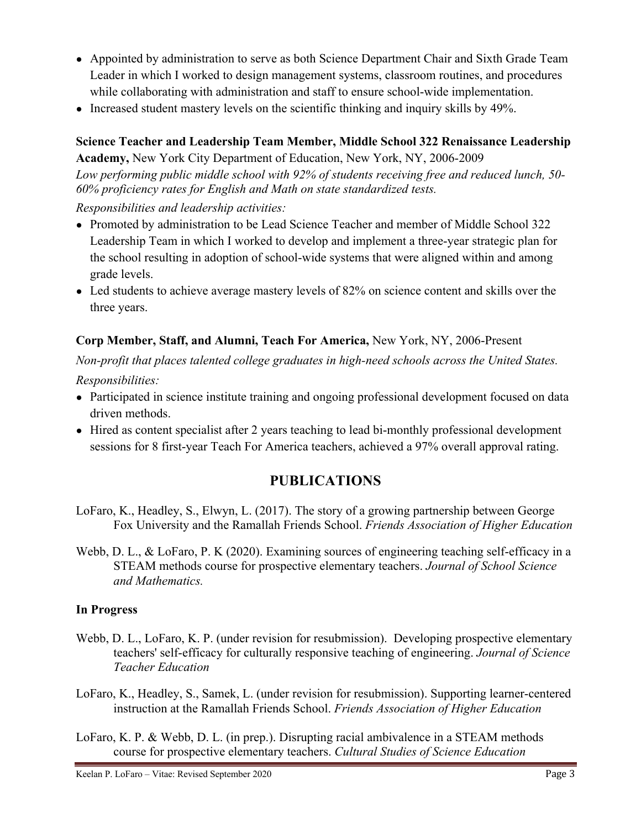- Appointed by administration to serve as both Science Department Chair and Sixth Grade Team Leader in which I worked to design management systems, classroom routines, and procedures while collaborating with administration and staff to ensure school-wide implementation.
- Increased student mastery levels on the scientific thinking and inquiry skills by 49%.

#### **Science Teacher and Leadership Team Member, Middle School 322 Renaissance Leadership**

**Academy,** New York City Department of Education, New York, NY, 2006-2009 *Low performing public middle school with 92% of students receiving free and reduced lunch, 50- 60% proficiency rates for English and Math on state standardized tests.*

*Responsibilities and leadership activities:*

- Promoted by administration to be Lead Science Teacher and member of Middle School 322 Leadership Team in which I worked to develop and implement a three-year strategic plan for the school resulting in adoption of school-wide systems that were aligned within and among grade levels.
- Led students to achieve average mastery levels of 82% on science content and skills over the three years.

### **Corp Member, Staff, and Alumni, Teach For America,** New York, NY, 2006-Present

*Non-profit that places talented college graduates in high-need schools across the United States. Responsibilities:*

- Participated in science institute training and ongoing professional development focused on data driven methods.
- Hired as content specialist after 2 years teaching to lead bi-monthly professional development sessions for 8 first-year Teach For America teachers, achieved a 97% overall approval rating.

# **PUBLICATIONS**

- LoFaro, K., Headley, S., Elwyn, L. (2017). The story of a growing partnership between George Fox University and the Ramallah Friends School. *Friends Association of Higher Education*
- Webb, D. L., & LoFaro, P. K (2020). Examining sources of engineering teaching self-efficacy in a STEAM methods course for prospective elementary teachers. *Journal of School Science and Mathematics.*

### **In Progress**

- Webb, D. L., LoFaro, K. P. (under revision for resubmission). Developing prospective elementary teachers' self-efficacy for culturally responsive teaching of engineering. *Journal of Science Teacher Education*
- LoFaro, K., Headley, S., Samek, L. (under revision for resubmission). Supporting learner-centered instruction at the Ramallah Friends School. *Friends Association of Higher Education*
- LoFaro, K. P. & Webb, D. L. (in prep.). Disrupting racial ambivalence in a STEAM methods course for prospective elementary teachers. *Cultural Studies of Science Education*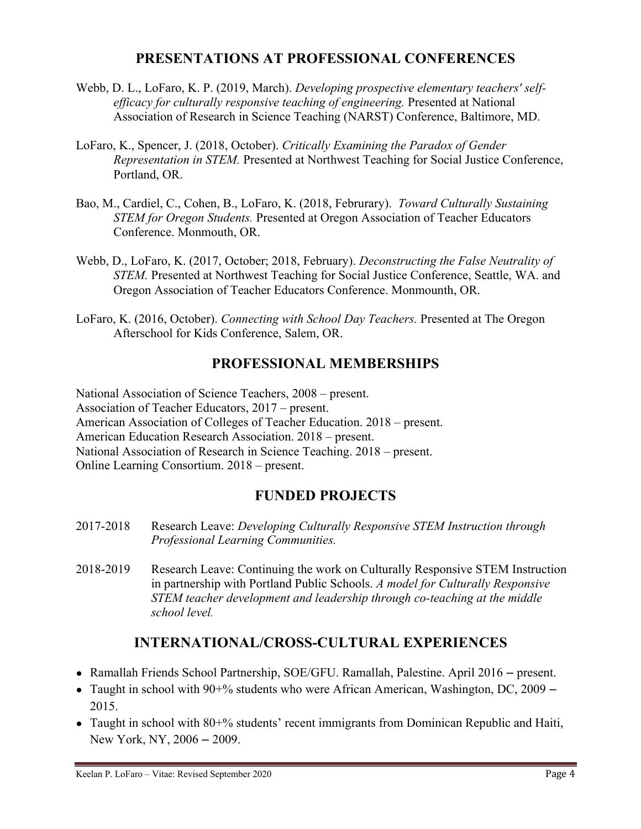## **PRESENTATIONS AT PROFESSIONAL CONFERENCES**

- Webb, D. L., LoFaro, K. P. (2019, March). *Developing prospective elementary teachers' selfefficacy for culturally responsive teaching of engineering.* Presented at National Association of Research in Science Teaching (NARST) Conference, Baltimore, MD.
- LoFaro, K., Spencer, J. (2018, October). *Critically Examining the Paradox of Gender Representation in STEM.* Presented at Northwest Teaching for Social Justice Conference, Portland, OR.
- Bao, M., Cardiel, C., Cohen, B., LoFaro, K. (2018, Februrary). *Toward Culturally Sustaining STEM for Oregon Students.* Presented at Oregon Association of Teacher Educators Conference. Monmouth, OR.
- Webb, D., LoFaro, K. (2017, October; 2018, February). *Deconstructing the False Neutrality of STEM.* Presented at Northwest Teaching for Social Justice Conference, Seattle, WA. and Oregon Association of Teacher Educators Conference. Monmounth, OR.
- LoFaro, K. (2016, October). *Connecting with School Day Teachers.* Presented at The Oregon Afterschool for Kids Conference, Salem, OR.

## **PROFESSIONAL MEMBERSHIPS**

National Association of Science Teachers, 2008 – present. Association of Teacher Educators, 2017 – present. American Association of Colleges of Teacher Education. 2018 – present. American Education Research Association. 2018 – present. National Association of Research in Science Teaching. 2018 – present. Online Learning Consortium. 2018 – present.

# **FUNDED PROJECTS**

- 2017-2018 Research Leave: *Developing Culturally Responsive STEM Instruction through Professional Learning Communities.*
- 2018-2019 Research Leave: Continuing the work on Culturally Responsive STEM Instruction in partnership with Portland Public Schools. *A model for Culturally Responsive STEM teacher development and leadership through co-teaching at the middle school level.*

# **INTERNATIONAL/CROSS-CULTURAL EXPERIENCES**

- Ramallah Friends School Partnership, SOE/GFU. Ramallah, Palestine. April 2016 present.
- Taught in school with  $90+%$  students who were African American, Washington, DC, 2009 2015.
- Taught in school with 80+% students' recent immigrants from Dominican Republic and Haiti, New York, NY, 2006 – 2009.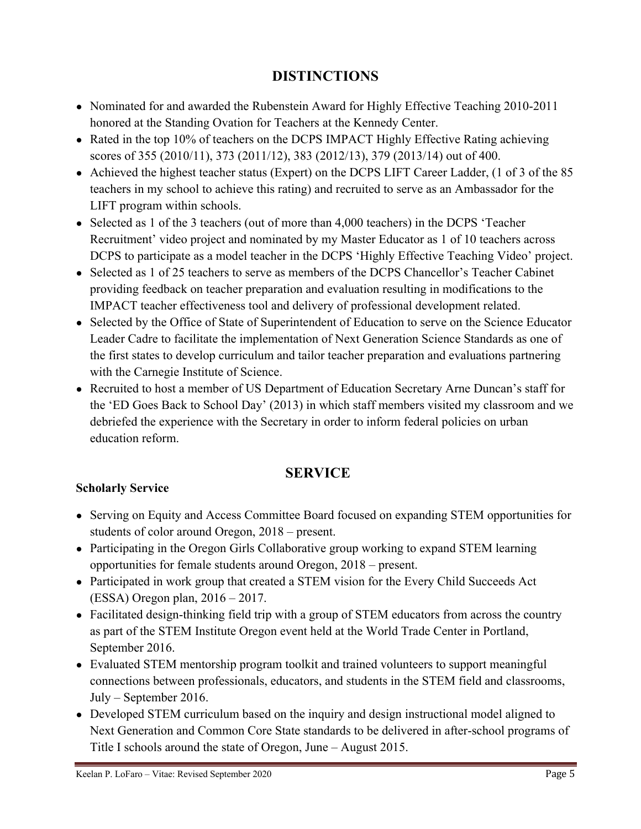# **DISTINCTIONS**

- Nominated for and awarded the Rubenstein Award for Highly Effective Teaching 2010-2011 honored at the Standing Ovation for Teachers at the Kennedy Center.
- Rated in the top 10% of teachers on the DCPS IMPACT Highly Effective Rating achieving scores of 355 (2010/11), 373 (2011/12), 383 (2012/13), 379 (2013/14) out of 400.
- Achieved the highest teacher status (Expert) on the DCPS LIFT Career Ladder, (1 of 3 of the 85 teachers in my school to achieve this rating) and recruited to serve as an Ambassador for the LIFT program within schools.
- Selected as 1 of the 3 teachers (out of more than 4,000 teachers) in the DCPS 'Teacher Recruitment' video project and nominated by my Master Educator as 1 of 10 teachers across DCPS to participate as a model teacher in the DCPS 'Highly Effective Teaching Video' project.
- Selected as 1 of 25 teachers to serve as members of the DCPS Chancellor's Teacher Cabinet providing feedback on teacher preparation and evaluation resulting in modifications to the IMPACT teacher effectiveness tool and delivery of professional development related.
- Selected by the Office of State of Superintendent of Education to serve on the Science Educator Leader Cadre to facilitate the implementation of Next Generation Science Standards as one of the first states to develop curriculum and tailor teacher preparation and evaluations partnering with the Carnegie Institute of Science.
- Recruited to host a member of US Department of Education Secretary Arne Duncan's staff for the 'ED Goes Back to School Day' (2013) in which staff members visited my classroom and we debriefed the experience with the Secretary in order to inform federal policies on urban education reform.

# **SERVICE**

### **Scholarly Service**

- Serving on Equity and Access Committee Board focused on expanding STEM opportunities for students of color around Oregon, 2018 – present.
- Participating in the Oregon Girls Collaborative group working to expand STEM learning opportunities for female students around Oregon, 2018 – present.
- Participated in work group that created a STEM vision for the Every Child Succeeds Act (ESSA) Oregon plan, 2016 – 2017.
- Facilitated design-thinking field trip with a group of STEM educators from across the country as part of the STEM Institute Oregon event held at the World Trade Center in Portland, September 2016.
- Evaluated STEM mentorship program toolkit and trained volunteers to support meaningful connections between professionals, educators, and students in the STEM field and classrooms, July – September 2016.
- Developed STEM curriculum based on the inquiry and design instructional model aligned to Next Generation and Common Core State standards to be delivered in after-school programs of Title I schools around the state of Oregon, June – August 2015.